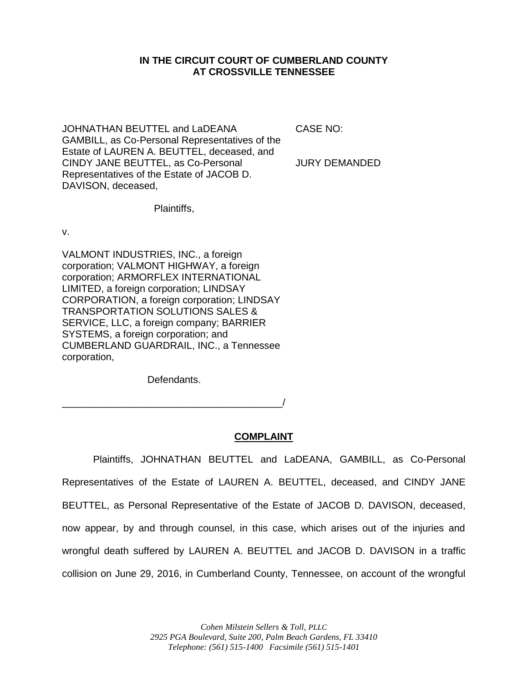### **IN THE CIRCUIT COURT OF CUMBERLAND COUNTY AT CROSSVILLE TENNESSEE**

JOHNATHAN BEUTTEL and LaDEANA GAMBILL, as Co-Personal Representatives of the Estate of LAUREN A. BEUTTEL, deceased, and CINDY JANE BEUTTEL, as Co-Personal Representatives of the Estate of JACOB D. DAVISON, deceased,

CASE NO:

JURY DEMANDED

Plaintiffs,

v.

VALMONT INDUSTRIES, INC., a foreign corporation; VALMONT HIGHWAY, a foreign corporation; ARMORFLEX INTERNATIONAL LIMITED, a foreign corporation; LINDSAY CORPORATION, a foreign corporation; LINDSAY TRANSPORTATION SOLUTIONS SALES & SERVICE, LLC, a foreign company; BARRIER SYSTEMS, a foreign corporation; and CUMBERLAND GUARDRAIL, INC., a Tennessee corporation,

Defendants.

\_\_\_\_\_\_\_\_\_\_\_\_\_\_\_\_\_\_\_\_\_\_\_\_\_\_\_\_\_\_\_\_\_\_\_\_\_\_\_\_/

# **COMPLAINT**

Plaintiffs, JOHNATHAN BEUTTEL and LaDEANA, GAMBILL, as Co-Personal Representatives of the Estate of LAUREN A. BEUTTEL, deceased, and CINDY JANE BEUTTEL, as Personal Representative of the Estate of JACOB D. DAVISON, deceased, now appear, by and through counsel, in this case, which arises out of the injuries and wrongful death suffered by LAUREN A. BEUTTEL and JACOB D. DAVISON in a traffic collision on June 29, 2016, in Cumberland County, Tennessee, on account of the wrongful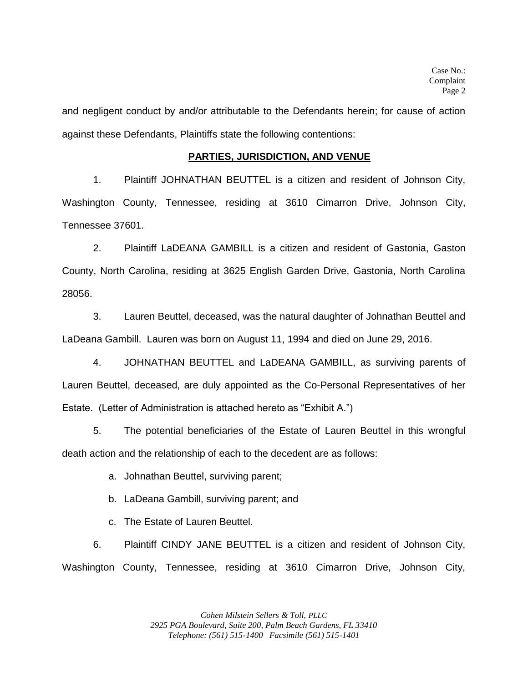and negligent conduct by and/or attributable to the Defendants herein; for cause of action against these Defendants, Plaintiffs state the following contentions:

#### **PARTIES, JURISDICTION, AND VENUE**

1. Plaintiff JOHNATHAN BEUTTEL is a citizen and resident of Johnson City, Washington County, Tennessee, residing at 3610 Cimarron Drive, Johnson City, Tennessee 37601.

2. Plaintiff LaDEANA GAMBILL is a citizen and resident of Gastonia, Gaston County, North Carolina, residing at 3625 English Garden Drive, Gastonia, North Carolina 28056.

3. Lauren Beuttel, deceased, was the natural daughter of Johnathan Beuttel and LaDeana Gambill. Lauren was born on August 11, 1994 and died on June 29, 2016.

4. JOHNATHAN BEUTTEL and LaDEANA GAMBILL, as surviving parents of Lauren Beuttel, deceased, are duly appointed as the Co-Personal Representatives of her Estate. (Letter of Administration is attached hereto as "Exhibit A.")

5. The potential beneficiaries of the Estate of Lauren Beuttel in this wrongful death action and the relationship of each to the decedent are as follows:

a. Johnathan Beuttel, surviving parent;

b. LaDeana Gambill, surviving parent; and

c. The Estate of Lauren Beuttel.

6. Plaintiff CINDY JANE BEUTTEL is a citizen and resident of Johnson City, Washington County, Tennessee, residing at 3610 Cimarron Drive, Johnson City,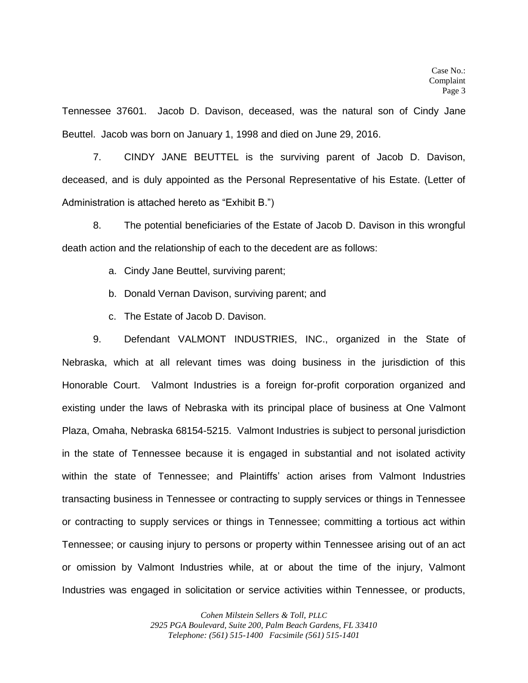Tennessee 37601. Jacob D. Davison, deceased, was the natural son of Cindy Jane Beuttel. Jacob was born on January 1, 1998 and died on June 29, 2016.

7. CINDY JANE BEUTTEL is the surviving parent of Jacob D. Davison, deceased, and is duly appointed as the Personal Representative of his Estate. (Letter of Administration is attached hereto as "Exhibit B.")

8. The potential beneficiaries of the Estate of Jacob D. Davison in this wrongful death action and the relationship of each to the decedent are as follows:

a. Cindy Jane Beuttel, surviving parent;

b. Donald Vernan Davison, surviving parent; and

c. The Estate of Jacob D. Davison.

9. Defendant VALMONT INDUSTRIES, INC., organized in the State of Nebraska, which at all relevant times was doing business in the jurisdiction of this Honorable Court. Valmont Industries is a foreign for-profit corporation organized and existing under the laws of Nebraska with its principal place of business at One Valmont Plaza, Omaha, Nebraska 68154-5215. Valmont Industries is subject to personal jurisdiction in the state of Tennessee because it is engaged in substantial and not isolated activity within the state of Tennessee; and Plaintiffs' action arises from Valmont Industries transacting business in Tennessee or contracting to supply services or things in Tennessee or contracting to supply services or things in Tennessee; committing a tortious act within Tennessee; or causing injury to persons or property within Tennessee arising out of an act or omission by Valmont Industries while, at or about the time of the injury, Valmont Industries was engaged in solicitation or service activities within Tennessee, or products,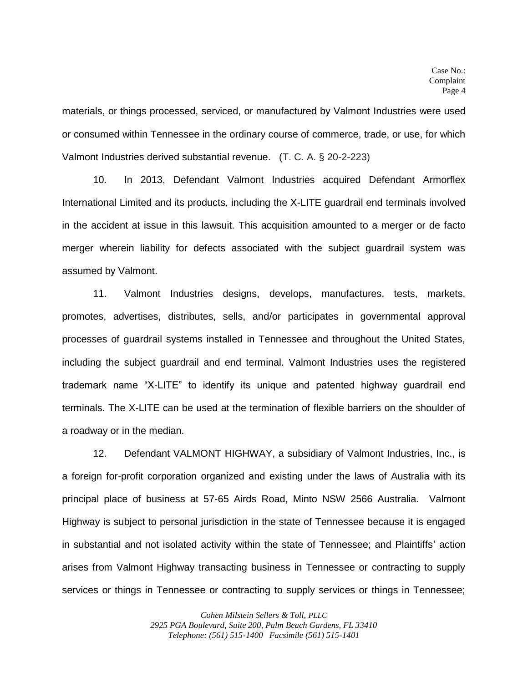materials, or things processed, serviced, or manufactured by Valmont Industries were used or consumed within Tennessee in the ordinary course of commerce, trade, or use, for which Valmont Industries derived substantial revenue. (T. C. A. § 20-2-223)

10. In 2013, Defendant Valmont Industries acquired Defendant Armorflex International Limited and its products, including the X-LITE guardrail end terminals involved in the accident at issue in this lawsuit. This acquisition amounted to a merger or de facto merger wherein liability for defects associated with the subject guardrail system was assumed by Valmont.

11. Valmont Industries designs, develops, manufactures, tests, markets, promotes, advertises, distributes, sells, and/or participates in governmental approval processes of guardrail systems installed in Tennessee and throughout the United States, including the subject guardrail and end terminal. Valmont Industries uses the registered trademark name "X-LITE" to identify its unique and patented highway guardrail end terminals. The X-LITE can be used at the termination of flexible barriers on the shoulder of a roadway or in the median.

12. Defendant VALMONT HIGHWAY, a subsidiary of Valmont Industries, Inc., is a foreign for-profit corporation organized and existing under the laws of Australia with its principal place of business at 57-65 Airds Road, Minto NSW 2566 Australia. Valmont Highway is subject to personal jurisdiction in the state of Tennessee because it is engaged in substantial and not isolated activity within the state of Tennessee; and Plaintiffs' action arises from Valmont Highway transacting business in Tennessee or contracting to supply services or things in Tennessee or contracting to supply services or things in Tennessee;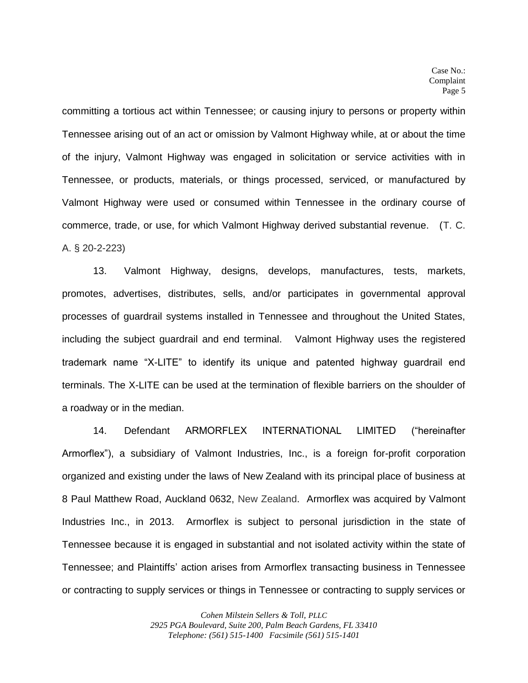committing a tortious act within Tennessee; or causing injury to persons or property within Tennessee arising out of an act or omission by Valmont Highway while, at or about the time of the injury, Valmont Highway was engaged in solicitation or service activities with in Tennessee, or products, materials, or things processed, serviced, or manufactured by Valmont Highway were used or consumed within Tennessee in the ordinary course of commerce, trade, or use, for which Valmont Highway derived substantial revenue. (T. C. A. § 20-2-223)

13. Valmont Highway, designs, develops, manufactures, tests, markets, promotes, advertises, distributes, sells, and/or participates in governmental approval processes of guardrail systems installed in Tennessee and throughout the United States, including the subject guardrail and end terminal. Valmont Highway uses the registered trademark name "X-LITE" to identify its unique and patented highway guardrail end terminals. The X-LITE can be used at the termination of flexible barriers on the shoulder of a roadway or in the median.

14. Defendant ARMORFLEX INTERNATIONAL LIMITED ("hereinafter Armorflex"), a subsidiary of Valmont Industries, Inc., is a foreign for-profit corporation organized and existing under the laws of New Zealand with its principal place of business at 8 Paul Matthew Road, Auckland 0632, New Zealand. Armorflex was acquired by Valmont Industries Inc., in 2013. Armorflex is subject to personal jurisdiction in the state of Tennessee because it is engaged in substantial and not isolated activity within the state of Tennessee; and Plaintiffs' action arises from Armorflex transacting business in Tennessee or contracting to supply services or things in Tennessee or contracting to supply services or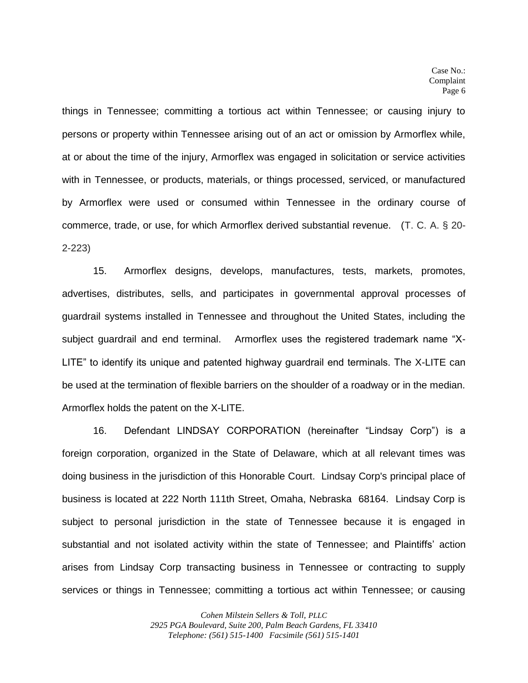things in Tennessee; committing a tortious act within Tennessee; or causing injury to persons or property within Tennessee arising out of an act or omission by Armorflex while, at or about the time of the injury, Armorflex was engaged in solicitation or service activities with in Tennessee, or products, materials, or things processed, serviced, or manufactured by Armorflex were used or consumed within Tennessee in the ordinary course of commerce, trade, or use, for which Armorflex derived substantial revenue. (T. C. A. § 20- 2-223)

15. Armorflex designs, develops, manufactures, tests, markets, promotes, advertises, distributes, sells, and participates in governmental approval processes of guardrail systems installed in Tennessee and throughout the United States, including the subject guardrail and end terminal. Armorflex uses the registered trademark name "X-LITE" to identify its unique and patented highway guardrail end terminals. The X-LITE can be used at the termination of flexible barriers on the shoulder of a roadway or in the median. Armorflex holds the patent on the X-LITE.

16. Defendant LINDSAY CORPORATION (hereinafter "Lindsay Corp") is a foreign corporation, organized in the State of Delaware, which at all relevant times was doing business in the jurisdiction of this Honorable Court. Lindsay Corp's principal place of business is located at 222 North 111th Street, Omaha, Nebraska 68164. Lindsay Corp is subject to personal jurisdiction in the state of Tennessee because it is engaged in substantial and not isolated activity within the state of Tennessee; and Plaintiffs' action arises from Lindsay Corp transacting business in Tennessee or contracting to supply services or things in Tennessee; committing a tortious act within Tennessee; or causing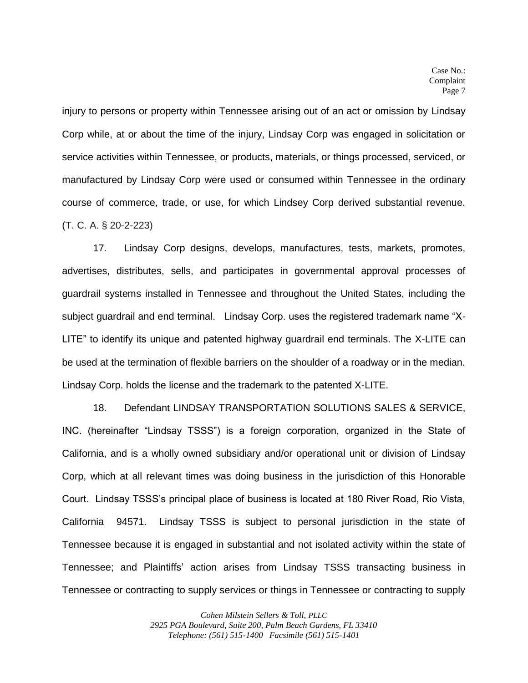injury to persons or property within Tennessee arising out of an act or omission by Lindsay Corp while, at or about the time of the injury, Lindsay Corp was engaged in solicitation or service activities within Tennessee, or products, materials, or things processed, serviced, or manufactured by Lindsay Corp were used or consumed within Tennessee in the ordinary course of commerce, trade, or use, for which Lindsey Corp derived substantial revenue. (T. C. A. § 20-2-223)

17. Lindsay Corp designs, develops, manufactures, tests, markets, promotes, advertises, distributes, sells, and participates in governmental approval processes of guardrail systems installed in Tennessee and throughout the United States, including the subject guardrail and end terminal. Lindsay Corp. uses the registered trademark name "X-LITE" to identify its unique and patented highway guardrail end terminals. The X-LITE can be used at the termination of flexible barriers on the shoulder of a roadway or in the median. Lindsay Corp. holds the license and the trademark to the patented X-LITE.

18. Defendant LINDSAY TRANSPORTATION SOLUTIONS SALES & SERVICE, INC. (hereinafter "Lindsay TSSS") is a foreign corporation, organized in the State of California, and is a wholly owned subsidiary and/or operational unit or division of Lindsay Corp, which at all relevant times was doing business in the jurisdiction of this Honorable Court. Lindsay TSSS's principal place of business is located at 180 River Road, Rio Vista, California 94571. Lindsay TSSS is subject to personal jurisdiction in the state of Tennessee because it is engaged in substantial and not isolated activity within the state of Tennessee; and Plaintiffs' action arises from Lindsay TSSS transacting business in Tennessee or contracting to supply services or things in Tennessee or contracting to supply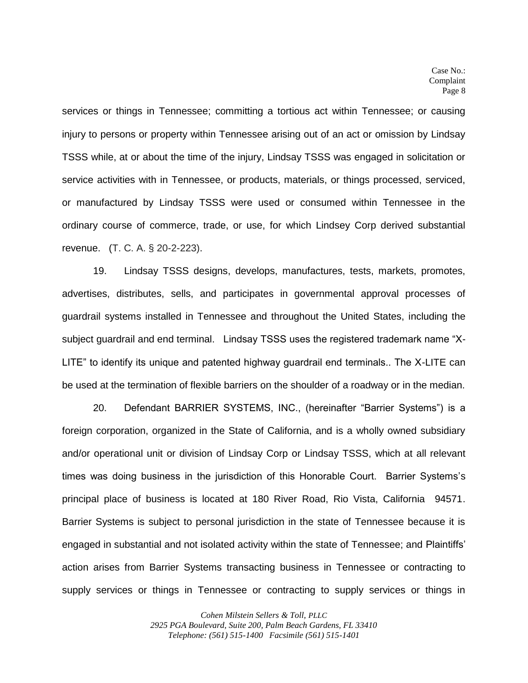services or things in Tennessee; committing a tortious act within Tennessee; or causing injury to persons or property within Tennessee arising out of an act or omission by Lindsay TSSS while, at or about the time of the injury, Lindsay TSSS was engaged in solicitation or service activities with in Tennessee, or products, materials, or things processed, serviced, or manufactured by Lindsay TSSS were used or consumed within Tennessee in the ordinary course of commerce, trade, or use, for which Lindsey Corp derived substantial revenue. (T. C. A. § 20-2-223).

19. Lindsay TSSS designs, develops, manufactures, tests, markets, promotes, advertises, distributes, sells, and participates in governmental approval processes of guardrail systems installed in Tennessee and throughout the United States, including the subject guardrail and end terminal. Lindsay TSSS uses the registered trademark name "X-LITE" to identify its unique and patented highway guardrail end terminals.. The X-LITE can be used at the termination of flexible barriers on the shoulder of a roadway or in the median.

20. Defendant BARRIER SYSTEMS, INC., (hereinafter "Barrier Systems") is a foreign corporation, organized in the State of California, and is a wholly owned subsidiary and/or operational unit or division of Lindsay Corp or Lindsay TSSS, which at all relevant times was doing business in the jurisdiction of this Honorable Court. Barrier Systems's principal place of business is located at 180 River Road, Rio Vista, California 94571. Barrier Systems is subject to personal jurisdiction in the state of Tennessee because it is engaged in substantial and not isolated activity within the state of Tennessee; and Plaintiffs' action arises from Barrier Systems transacting business in Tennessee or contracting to supply services or things in Tennessee or contracting to supply services or things in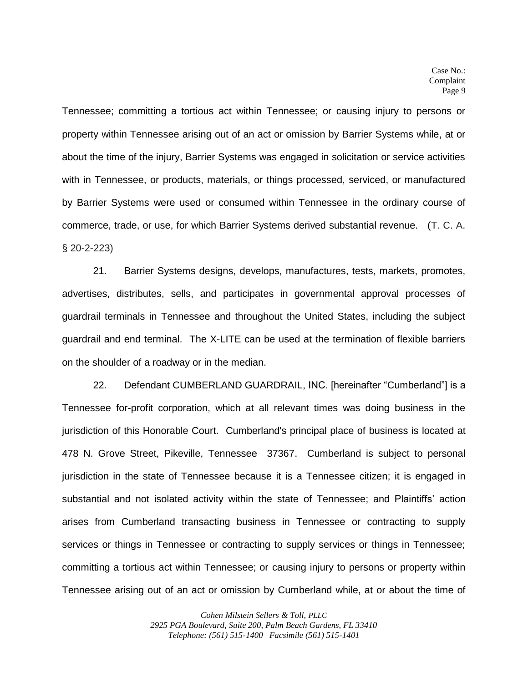Tennessee; committing a tortious act within Tennessee; or causing injury to persons or property within Tennessee arising out of an act or omission by Barrier Systems while, at or about the time of the injury, Barrier Systems was engaged in solicitation or service activities with in Tennessee, or products, materials, or things processed, serviced, or manufactured by Barrier Systems were used or consumed within Tennessee in the ordinary course of commerce, trade, or use, for which Barrier Systems derived substantial revenue. (T. C. A. § 20-2-223)

21. Barrier Systems designs, develops, manufactures, tests, markets, promotes, advertises, distributes, sells, and participates in governmental approval processes of guardrail terminals in Tennessee and throughout the United States, including the subject guardrail and end terminal. The X-LITE can be used at the termination of flexible barriers on the shoulder of a roadway or in the median.

22. Defendant CUMBERLAND GUARDRAIL, INC. [hereinafter "Cumberland"] is a Tennessee for-profit corporation, which at all relevant times was doing business in the jurisdiction of this Honorable Court. Cumberland's principal place of business is located at 478 N. Grove Street, Pikeville, Tennessee 37367. Cumberland is subject to personal jurisdiction in the state of Tennessee because it is a Tennessee citizen; it is engaged in substantial and not isolated activity within the state of Tennessee; and Plaintiffs' action arises from Cumberland transacting business in Tennessee or contracting to supply services or things in Tennessee or contracting to supply services or things in Tennessee; committing a tortious act within Tennessee; or causing injury to persons or property within Tennessee arising out of an act or omission by Cumberland while, at or about the time of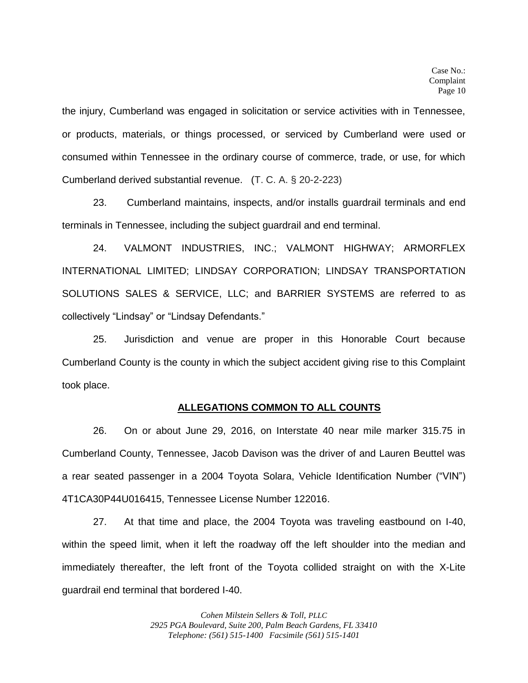the injury, Cumberland was engaged in solicitation or service activities with in Tennessee, or products, materials, or things processed, or serviced by Cumberland were used or consumed within Tennessee in the ordinary course of commerce, trade, or use, for which Cumberland derived substantial revenue. (T. C. A. § 20-2-223)

23. Cumberland maintains, inspects, and/or installs guardrail terminals and end terminals in Tennessee, including the subject guardrail and end terminal.

24. VALMONT INDUSTRIES, INC.; VALMONT HIGHWAY; ARMORFLEX INTERNATIONAL LIMITED; LINDSAY CORPORATION; LINDSAY TRANSPORTATION SOLUTIONS SALES & SERVICE, LLC; and BARRIER SYSTEMS are referred to as collectively "Lindsay" or "Lindsay Defendants."

25. Jurisdiction and venue are proper in this Honorable Court because Cumberland County is the county in which the subject accident giving rise to this Complaint took place.

#### **ALLEGATIONS COMMON TO ALL COUNTS**

26. On or about June 29, 2016, on Interstate 40 near mile marker 315.75 in Cumberland County, Tennessee, Jacob Davison was the driver of and Lauren Beuttel was a rear seated passenger in a 2004 Toyota Solara, Vehicle Identification Number ("VIN") 4T1CA30P44U016415, Tennessee License Number 122016.

27. At that time and place, the 2004 Toyota was traveling eastbound on I-40, within the speed limit, when it left the roadway off the left shoulder into the median and immediately thereafter, the left front of the Toyota collided straight on with the X-Lite guardrail end terminal that bordered I-40.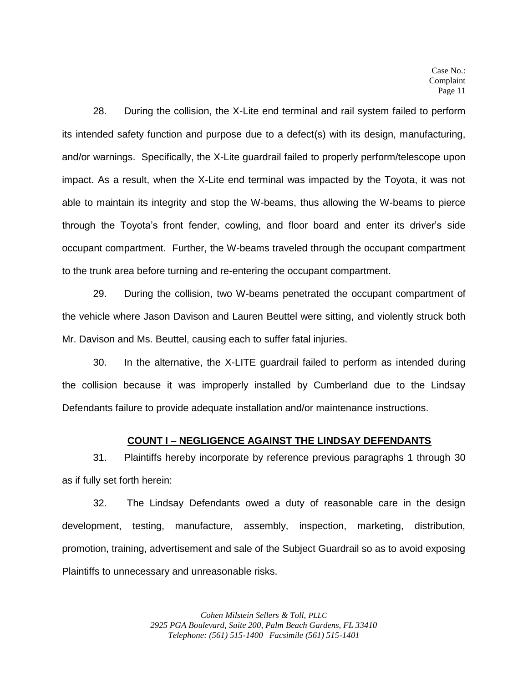28. During the collision, the X-Lite end terminal and rail system failed to perform its intended safety function and purpose due to a defect(s) with its design, manufacturing, and/or warnings. Specifically, the X-Lite guardrail failed to properly perform/telescope upon impact. As a result, when the X-Lite end terminal was impacted by the Toyota, it was not able to maintain its integrity and stop the W-beams, thus allowing the W-beams to pierce through the Toyota's front fender, cowling, and floor board and enter its driver's side occupant compartment. Further, the W-beams traveled through the occupant compartment to the trunk area before turning and re-entering the occupant compartment.

29. During the collision, two W-beams penetrated the occupant compartment of the vehicle where Jason Davison and Lauren Beuttel were sitting, and violently struck both Mr. Davison and Ms. Beuttel, causing each to suffer fatal injuries.

30. In the alternative, the X-LITE guardrail failed to perform as intended during the collision because it was improperly installed by Cumberland due to the Lindsay Defendants failure to provide adequate installation and/or maintenance instructions.

#### **COUNT I – NEGLIGENCE AGAINST THE LINDSAY DEFENDANTS**

31. Plaintiffs hereby incorporate by reference previous paragraphs 1 through 30 as if fully set forth herein:

32. The Lindsay Defendants owed a duty of reasonable care in the design development, testing, manufacture, assembly, inspection, marketing, distribution, promotion, training, advertisement and sale of the Subject Guardrail so as to avoid exposing Plaintiffs to unnecessary and unreasonable risks.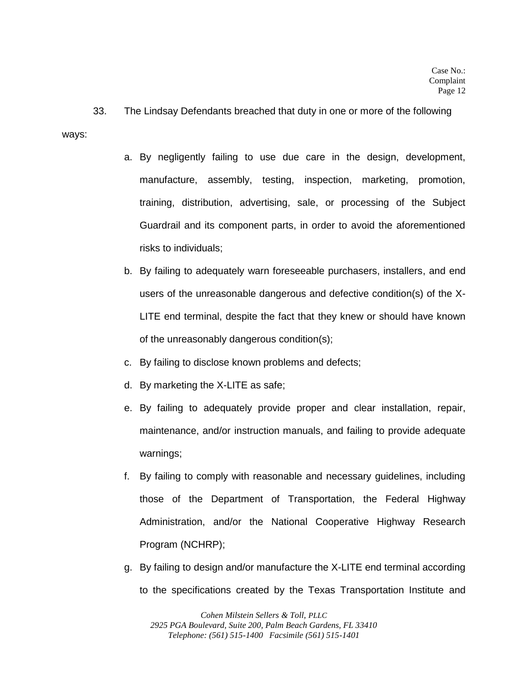33. The Lindsay Defendants breached that duty in one or more of the following

ways:

- a. By negligently failing to use due care in the design, development, manufacture, assembly, testing, inspection, marketing, promotion, training, distribution, advertising, sale, or processing of the Subject Guardrail and its component parts, in order to avoid the aforementioned risks to individuals;
- b. By failing to adequately warn foreseeable purchasers, installers, and end users of the unreasonable dangerous and defective condition(s) of the X-LITE end terminal, despite the fact that they knew or should have known of the unreasonably dangerous condition(s);
- c. By failing to disclose known problems and defects;
- d. By marketing the X-LITE as safe;
- e. By failing to adequately provide proper and clear installation, repair, maintenance, and/or instruction manuals, and failing to provide adequate warnings;
- f. By failing to comply with reasonable and necessary guidelines, including those of the Department of Transportation, the Federal Highway Administration, and/or the National Cooperative Highway Research Program (NCHRP);
- g. By failing to design and/or manufacture the X-LITE end terminal according to the specifications created by the Texas Transportation Institute and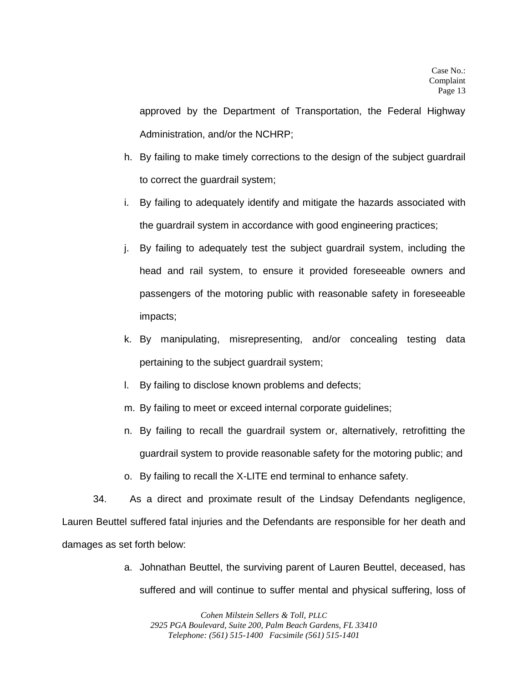approved by the Department of Transportation, the Federal Highway Administration, and/or the NCHRP;

- h. By failing to make timely corrections to the design of the subject guardrail to correct the guardrail system;
- i. By failing to adequately identify and mitigate the hazards associated with the guardrail system in accordance with good engineering practices;
- j. By failing to adequately test the subject guardrail system, including the head and rail system, to ensure it provided foreseeable owners and passengers of the motoring public with reasonable safety in foreseeable impacts;
- k. By manipulating, misrepresenting, and/or concealing testing data pertaining to the subject guardrail system;
- l. By failing to disclose known problems and defects;
- m. By failing to meet or exceed internal corporate guidelines;
- n. By failing to recall the guardrail system or, alternatively, retrofitting the guardrail system to provide reasonable safety for the motoring public; and
- o. By failing to recall the X-LITE end terminal to enhance safety.

34. As a direct and proximate result of the Lindsay Defendants negligence, Lauren Beuttel suffered fatal injuries and the Defendants are responsible for her death and damages as set forth below:

> a. Johnathan Beuttel, the surviving parent of Lauren Beuttel, deceased, has suffered and will continue to suffer mental and physical suffering, loss of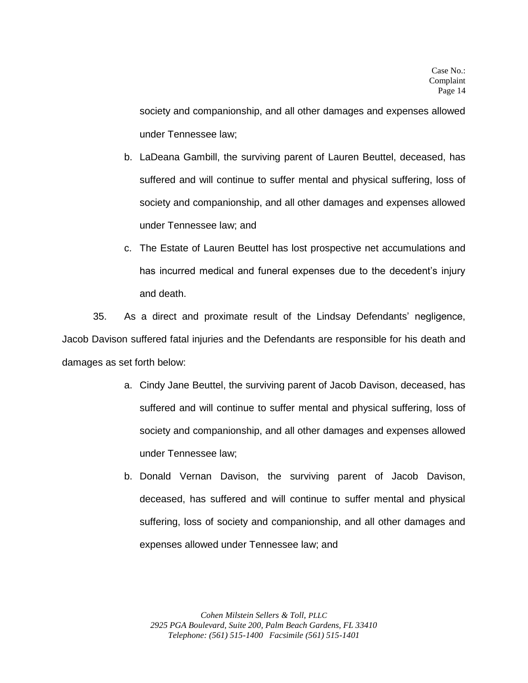society and companionship, and all other damages and expenses allowed under Tennessee law;

- b. LaDeana Gambill, the surviving parent of Lauren Beuttel, deceased, has suffered and will continue to suffer mental and physical suffering, loss of society and companionship, and all other damages and expenses allowed under Tennessee law; and
- c. The Estate of Lauren Beuttel has lost prospective net accumulations and has incurred medical and funeral expenses due to the decedent's injury and death.

35. As a direct and proximate result of the Lindsay Defendants' negligence, Jacob Davison suffered fatal injuries and the Defendants are responsible for his death and damages as set forth below:

- a. Cindy Jane Beuttel, the surviving parent of Jacob Davison, deceased, has suffered and will continue to suffer mental and physical suffering, loss of society and companionship, and all other damages and expenses allowed under Tennessee law;
- b. Donald Vernan Davison, the surviving parent of Jacob Davison, deceased, has suffered and will continue to suffer mental and physical suffering, loss of society and companionship, and all other damages and expenses allowed under Tennessee law; and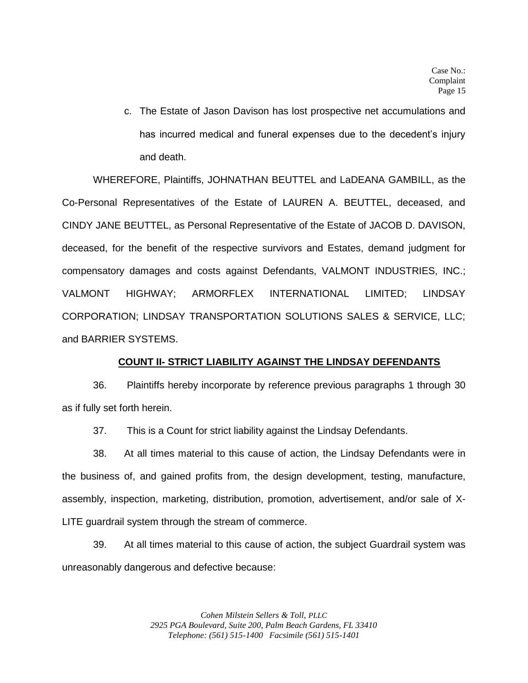c. The Estate of Jason Davison has lost prospective net accumulations and has incurred medical and funeral expenses due to the decedent's injury and death.

WHEREFORE, Plaintiffs, JOHNATHAN BEUTTEL and LaDEANA GAMBILL, as the Co-Personal Representatives of the Estate of LAUREN A. BEUTTEL, deceased, and CINDY JANE BEUTTEL, as Personal Representative of the Estate of JACOB D. DAVISON, deceased, for the benefit of the respective survivors and Estates, demand judgment for compensatory damages and costs against Defendants, VALMONT INDUSTRIES, INC.; VALMONT HIGHWAY; ARMORFLEX INTERNATIONAL LIMITED; LINDSAY CORPORATION; LINDSAY TRANSPORTATION SOLUTIONS SALES & SERVICE, LLC; and BARRIER SYSTEMS.

#### **COUNT II- STRICT LIABILITY AGAINST THE LINDSAY DEFENDANTS**

36. Plaintiffs hereby incorporate by reference previous paragraphs 1 through 30 as if fully set forth herein.

37. This is a Count for strict liability against the Lindsay Defendants.

38. At all times material to this cause of action, the Lindsay Defendants were in the business of, and gained profits from, the design development, testing, manufacture, assembly, inspection, marketing, distribution, promotion, advertisement, and/or sale of X-LITE guardrail system through the stream of commerce.

39. At all times material to this cause of action, the subject Guardrail system was unreasonably dangerous and defective because: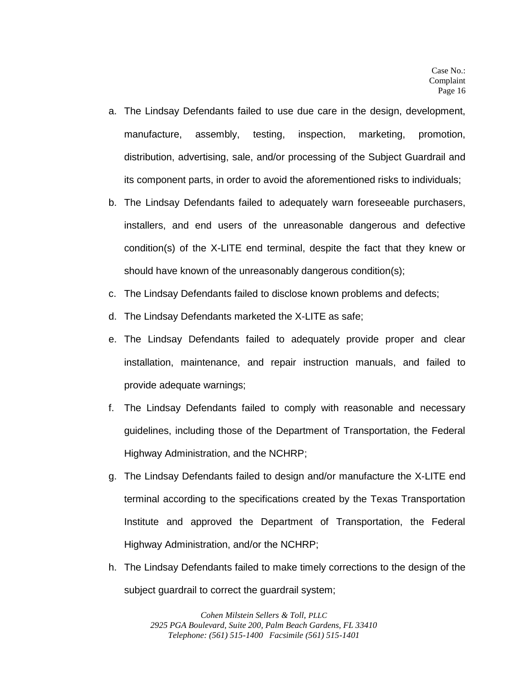- a. The Lindsay Defendants failed to use due care in the design, development, manufacture, assembly, testing, inspection, marketing, promotion, distribution, advertising, sale, and/or processing of the Subject Guardrail and its component parts, in order to avoid the aforementioned risks to individuals;
- b. The Lindsay Defendants failed to adequately warn foreseeable purchasers, installers, and end users of the unreasonable dangerous and defective condition(s) of the X-LITE end terminal, despite the fact that they knew or should have known of the unreasonably dangerous condition(s);
- c. The Lindsay Defendants failed to disclose known problems and defects;
- d. The Lindsay Defendants marketed the X-LITE as safe;
- e. The Lindsay Defendants failed to adequately provide proper and clear installation, maintenance, and repair instruction manuals, and failed to provide adequate warnings;
- f. The Lindsay Defendants failed to comply with reasonable and necessary guidelines, including those of the Department of Transportation, the Federal Highway Administration, and the NCHRP;
- g. The Lindsay Defendants failed to design and/or manufacture the X-LITE end terminal according to the specifications created by the Texas Transportation Institute and approved the Department of Transportation, the Federal Highway Administration, and/or the NCHRP;
- h. The Lindsay Defendants failed to make timely corrections to the design of the subject guardrail to correct the guardrail system;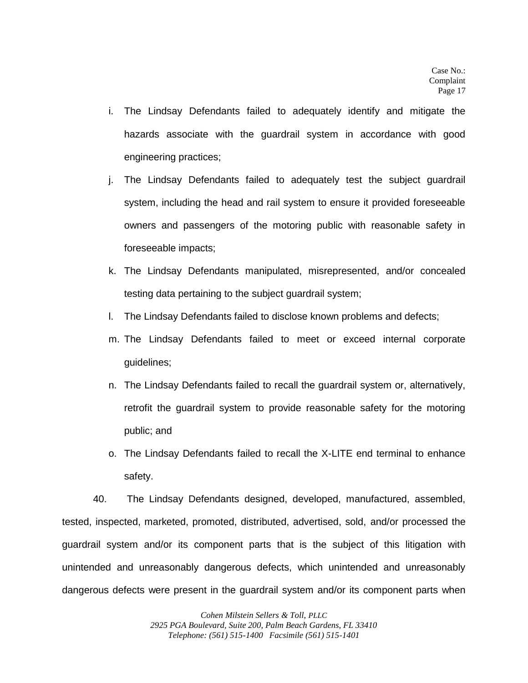- i. The Lindsay Defendants failed to adequately identify and mitigate the hazards associate with the guardrail system in accordance with good engineering practices;
- j. The Lindsay Defendants failed to adequately test the subject guardrail system, including the head and rail system to ensure it provided foreseeable owners and passengers of the motoring public with reasonable safety in foreseeable impacts;
- k. The Lindsay Defendants manipulated, misrepresented, and/or concealed testing data pertaining to the subject guardrail system;
- l. The Lindsay Defendants failed to disclose known problems and defects;
- m. The Lindsay Defendants failed to meet or exceed internal corporate guidelines;
- n. The Lindsay Defendants failed to recall the guardrail system or, alternatively, retrofit the guardrail system to provide reasonable safety for the motoring public; and
- o. The Lindsay Defendants failed to recall the X-LITE end terminal to enhance safety.

40. The Lindsay Defendants designed, developed, manufactured, assembled, tested, inspected, marketed, promoted, distributed, advertised, sold, and/or processed the guardrail system and/or its component parts that is the subject of this litigation with unintended and unreasonably dangerous defects, which unintended and unreasonably dangerous defects were present in the guardrail system and/or its component parts when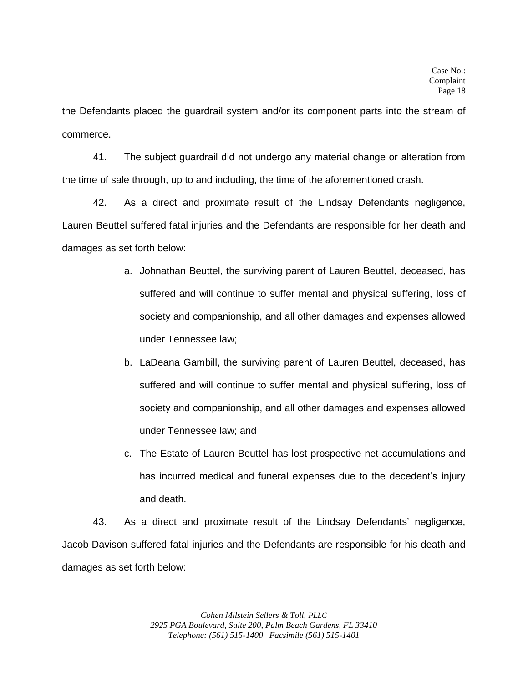the Defendants placed the guardrail system and/or its component parts into the stream of commerce.

41. The subject guardrail did not undergo any material change or alteration from the time of sale through, up to and including, the time of the aforementioned crash.

42. As a direct and proximate result of the Lindsay Defendants negligence, Lauren Beuttel suffered fatal injuries and the Defendants are responsible for her death and damages as set forth below:

- a. Johnathan Beuttel, the surviving parent of Lauren Beuttel, deceased, has suffered and will continue to suffer mental and physical suffering, loss of society and companionship, and all other damages and expenses allowed under Tennessee law;
- b. LaDeana Gambill, the surviving parent of Lauren Beuttel, deceased, has suffered and will continue to suffer mental and physical suffering, loss of society and companionship, and all other damages and expenses allowed under Tennessee law; and
- c. The Estate of Lauren Beuttel has lost prospective net accumulations and has incurred medical and funeral expenses due to the decedent's injury and death.

43. As a direct and proximate result of the Lindsay Defendants' negligence, Jacob Davison suffered fatal injuries and the Defendants are responsible for his death and damages as set forth below: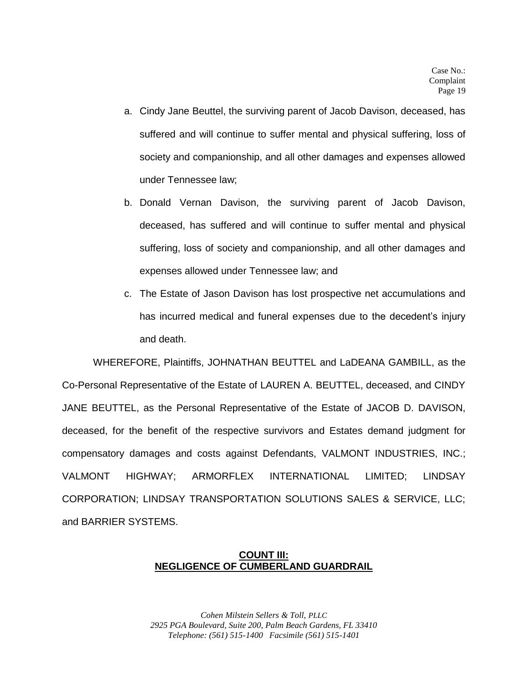- a. Cindy Jane Beuttel, the surviving parent of Jacob Davison, deceased, has suffered and will continue to suffer mental and physical suffering, loss of society and companionship, and all other damages and expenses allowed under Tennessee law;
- b. Donald Vernan Davison, the surviving parent of Jacob Davison, deceased, has suffered and will continue to suffer mental and physical suffering, loss of society and companionship, and all other damages and expenses allowed under Tennessee law; and
- c. The Estate of Jason Davison has lost prospective net accumulations and has incurred medical and funeral expenses due to the decedent's injury and death.

WHEREFORE, Plaintiffs, JOHNATHAN BEUTTEL and LaDEANA GAMBILL, as the Co-Personal Representative of the Estate of LAUREN A. BEUTTEL, deceased, and CINDY JANE BEUTTEL, as the Personal Representative of the Estate of JACOB D. DAVISON, deceased, for the benefit of the respective survivors and Estates demand judgment for compensatory damages and costs against Defendants, VALMONT INDUSTRIES, INC.; VALMONT HIGHWAY; ARMORFLEX INTERNATIONAL LIMITED; LINDSAY CORPORATION; LINDSAY TRANSPORTATION SOLUTIONS SALES & SERVICE, LLC; and BARRIER SYSTEMS.

## **COUNT III: NEGLIGENCE OF CUMBERLAND GUARDRAIL**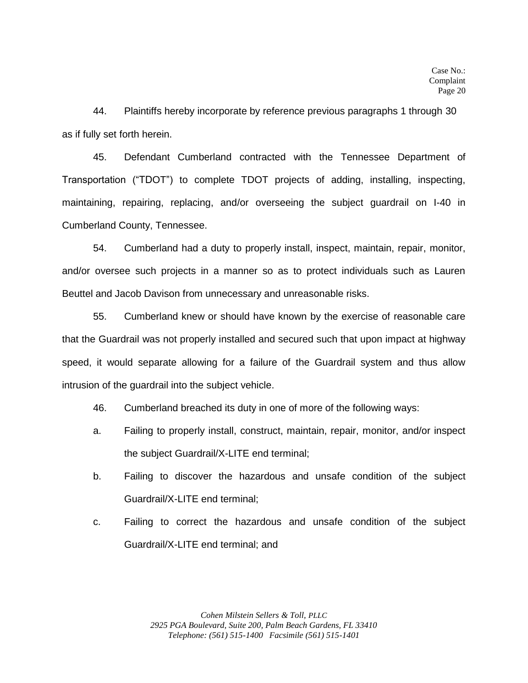44. Plaintiffs hereby incorporate by reference previous paragraphs 1 through 30 as if fully set forth herein.

45. Defendant Cumberland contracted with the Tennessee Department of Transportation ("TDOT") to complete TDOT projects of adding, installing, inspecting, maintaining, repairing, replacing, and/or overseeing the subject guardrail on I-40 in Cumberland County, Tennessee.

54. Cumberland had a duty to properly install, inspect, maintain, repair, monitor, and/or oversee such projects in a manner so as to protect individuals such as Lauren Beuttel and Jacob Davison from unnecessary and unreasonable risks.

55. Cumberland knew or should have known by the exercise of reasonable care that the Guardrail was not properly installed and secured such that upon impact at highway speed, it would separate allowing for a failure of the Guardrail system and thus allow intrusion of the guardrail into the subject vehicle.

- 46. Cumberland breached its duty in one of more of the following ways:
- a. Failing to properly install, construct, maintain, repair, monitor, and/or inspect the subject Guardrail/X-LITE end terminal;
- b. Failing to discover the hazardous and unsafe condition of the subject Guardrail/X-LITE end terminal;
- c. Failing to correct the hazardous and unsafe condition of the subject Guardrail/X-LITE end terminal; and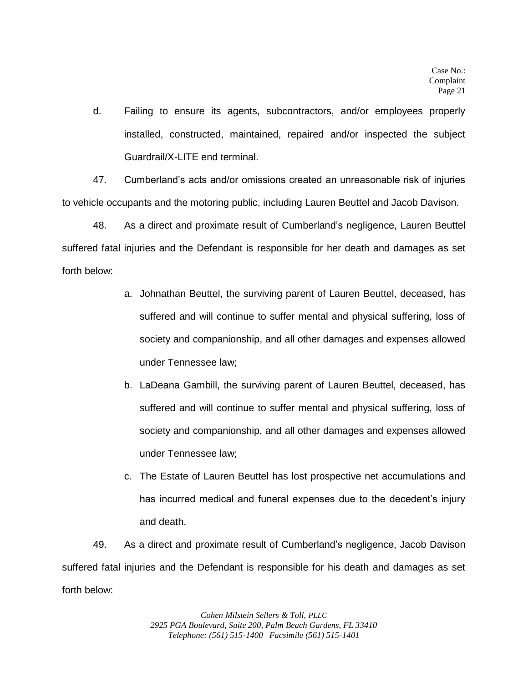d. Failing to ensure its agents, subcontractors, and/or employees properly installed, constructed, maintained, repaired and/or inspected the subject Guardrail/X-LITE end terminal.

47. Cumberland's acts and/or omissions created an unreasonable risk of injuries to vehicle occupants and the motoring public, including Lauren Beuttel and Jacob Davison.

48. As a direct and proximate result of Cumberland's negligence, Lauren Beuttel suffered fatal injuries and the Defendant is responsible for her death and damages as set forth below:

- a. Johnathan Beuttel, the surviving parent of Lauren Beuttel, deceased, has suffered and will continue to suffer mental and physical suffering, loss of society and companionship, and all other damages and expenses allowed under Tennessee law;
- b. LaDeana Gambill, the surviving parent of Lauren Beuttel, deceased, has suffered and will continue to suffer mental and physical suffering, loss of society and companionship, and all other damages and expenses allowed under Tennessee law;
- c. The Estate of Lauren Beuttel has lost prospective net accumulations and has incurred medical and funeral expenses due to the decedent's injury and death.

49. As a direct and proximate result of Cumberland's negligence, Jacob Davison suffered fatal injuries and the Defendant is responsible for his death and damages as set forth below: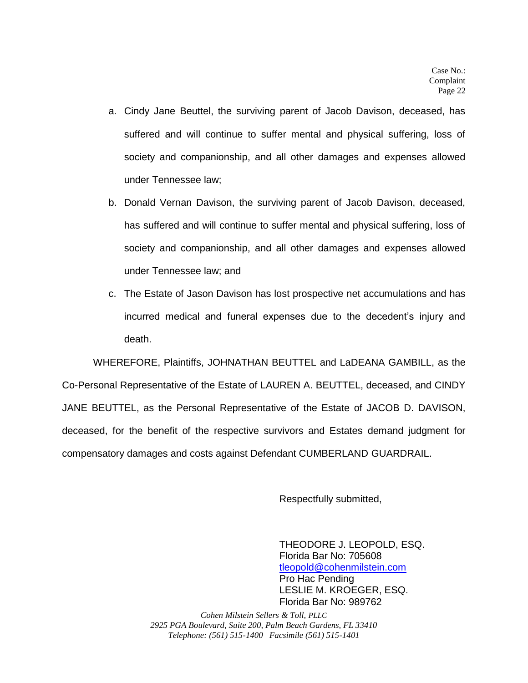- a. Cindy Jane Beuttel, the surviving parent of Jacob Davison, deceased, has suffered and will continue to suffer mental and physical suffering, loss of society and companionship, and all other damages and expenses allowed under Tennessee law;
- b. Donald Vernan Davison, the surviving parent of Jacob Davison, deceased, has suffered and will continue to suffer mental and physical suffering, loss of society and companionship, and all other damages and expenses allowed under Tennessee law; and
- c. The Estate of Jason Davison has lost prospective net accumulations and has incurred medical and funeral expenses due to the decedent's injury and death.

WHEREFORE, Plaintiffs, JOHNATHAN BEUTTEL and LaDEANA GAMBILL, as the Co-Personal Representative of the Estate of LAUREN A. BEUTTEL, deceased, and CINDY JANE BEUTTEL, as the Personal Representative of the Estate of JACOB D. DAVISON, deceased, for the benefit of the respective survivors and Estates demand judgment for compensatory damages and costs against Defendant CUMBERLAND GUARDRAIL.

Respectfully submitted,

THEODORE J. LEOPOLD, ESQ. Florida Bar No: 705608 [tleopold@cohenmilstein.com](mailto:tleopold@cohenmilstein.com) Pro Hac Pending LESLIE M. KROEGER, ESQ. Florida Bar No: 989762